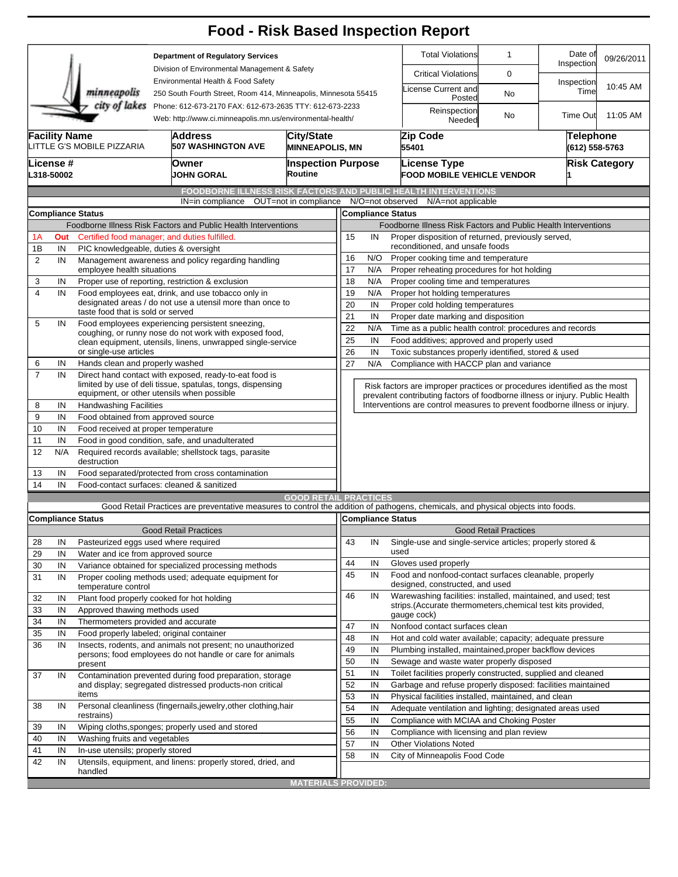|                                               |                                                                                                                                                                                                                                                                |                                                                                                                                                                                                                                                                                                       |                                                                                 |                                                                  |                                        |                                                                            |                                                                                                             |                                                                | <b>Food - Risk Based Inspection Report</b>                                                                                        |                              |                       |            |  |  |  |
|-----------------------------------------------|----------------------------------------------------------------------------------------------------------------------------------------------------------------------------------------------------------------------------------------------------------------|-------------------------------------------------------------------------------------------------------------------------------------------------------------------------------------------------------------------------------------------------------------------------------------------------------|---------------------------------------------------------------------------------|------------------------------------------------------------------|----------------------------------------|----------------------------------------------------------------------------|-------------------------------------------------------------------------------------------------------------|----------------------------------------------------------------|-----------------------------------------------------------------------------------------------------------------------------------|------------------------------|-----------------------|------------|--|--|--|
|                                               | <b>Department of Regulatory Services</b>                                                                                                                                                                                                                       |                                                                                                                                                                                                                                                                                                       |                                                                                 |                                                                  |                                        |                                                                            |                                                                                                             |                                                                | <b>Total Violations</b>                                                                                                           | $\mathbf 1$                  | Date of<br>Inspection | 09/26/2011 |  |  |  |
| Division of Environmental Management & Safety |                                                                                                                                                                                                                                                                |                                                                                                                                                                                                                                                                                                       |                                                                                 |                                                                  |                                        |                                                                            |                                                                                                             |                                                                | <b>Critical Violations</b>                                                                                                        | 0                            |                       |            |  |  |  |
|                                               | Environmental Health & Food Safety<br>minneapolis<br>250 South Fourth Street, Room 414, Minneapolis, Minnesota 55415<br>city of lakes<br>Phone: 612-673-2170 FAX: 612-673-2635 TTY: 612-673-2233<br>Web: http://www.ci.minneapolis.mn.us/environmental-health/ |                                                                                                                                                                                                                                                                                                       |                                                                                 |                                                                  |                                        |                                                                            |                                                                                                             |                                                                | icense Current and<br>Posted                                                                                                      | No                           | Inspection<br>Time    | 10:45 AM   |  |  |  |
|                                               |                                                                                                                                                                                                                                                                |                                                                                                                                                                                                                                                                                                       |                                                                                 |                                                                  |                                        |                                                                            |                                                                                                             |                                                                | Reinspection<br>Needed                                                                                                            | No                           | Time Out              | 11:05 AM   |  |  |  |
|                                               | <b>Facility Name</b><br>Address<br><b>City/State</b><br>LITTLE G'S MOBILE PIZZARIA<br><b>507 WASHINGTON AVE</b><br><b>MINNEAPOLIS, MN</b>                                                                                                                      |                                                                                                                                                                                                                                                                                                       |                                                                                 |                                                                  | Zip Code<br>55401                      |                                                                            |                                                                                                             |                                                                | <b>Telephone</b><br>(612) 558-5763                                                                                                |                              |                       |            |  |  |  |
|                                               | License #<br>L318-50002                                                                                                                                                                                                                                        |                                                                                                                                                                                                                                                                                                       | Owner<br><b>JOHN GORAL</b>                                                      |                                                                  | <b>Inspection Purpose</b><br>Routine   |                                                                            |                                                                                                             |                                                                | License Type<br><b>FOOD MOBILE VEHICLE VENDOR</b>                                                                                 | <b>Risk Category</b>         |                       |            |  |  |  |
|                                               |                                                                                                                                                                                                                                                                |                                                                                                                                                                                                                                                                                                       |                                                                                 |                                                                  |                                        |                                                                            |                                                                                                             |                                                                | <b>FOODBORNE ILLNESS RISK FACTORS AND PUBLIC HEALTH INTERVENTIONS</b>                                                             |                              |                       |            |  |  |  |
|                                               |                                                                                                                                                                                                                                                                |                                                                                                                                                                                                                                                                                                       | IN=in compliance                                                                |                                                                  | OUT=not in compliance N/O=not observed |                                                                            |                                                                                                             |                                                                | N/A=not applicable                                                                                                                |                              |                       |            |  |  |  |
|                                               | <b>Compliance Status</b>                                                                                                                                                                                                                                       |                                                                                                                                                                                                                                                                                                       |                                                                                 |                                                                  |                                        |                                                                            |                                                                                                             |                                                                | <b>Compliance Status</b>                                                                                                          |                              |                       |            |  |  |  |
|                                               | Foodborne Illness Risk Factors and Public Health Interventions                                                                                                                                                                                                 |                                                                                                                                                                                                                                                                                                       |                                                                                 |                                                                  |                                        |                                                                            |                                                                                                             | Foodborne Illness Risk Factors and Public Health Interventions |                                                                                                                                   |                              |                       |            |  |  |  |
| 1А                                            | Certified food manager; and duties fulfilled.<br>Out                                                                                                                                                                                                           |                                                                                                                                                                                                                                                                                                       |                                                                                 |                                                                  |                                        |                                                                            | 15<br>Proper disposition of returned, previously served,<br>IN                                              |                                                                |                                                                                                                                   |                              |                       |            |  |  |  |
| 1B                                            | IN                                                                                                                                                                                                                                                             | PIC knowledgeable, duties & oversight                                                                                                                                                                                                                                                                 |                                                                                 |                                                                  |                                        | reconditioned, and unsafe foods                                            |                                                                                                             |                                                                |                                                                                                                                   |                              |                       |            |  |  |  |
| $\overline{2}$                                | IN                                                                                                                                                                                                                                                             | Management awareness and policy regarding handling                                                                                                                                                                                                                                                    |                                                                                 |                                                                  |                                        | 16<br>N/O<br>Proper cooking time and temperature                           |                                                                                                             |                                                                |                                                                                                                                   |                              |                       |            |  |  |  |
|                                               | IN                                                                                                                                                                                                                                                             | employee health situations                                                                                                                                                                                                                                                                            |                                                                                 |                                                                  |                                        |                                                                            |                                                                                                             | 17<br>N/A<br>Proper reheating procedures for hot holding<br>18 |                                                                                                                                   |                              |                       |            |  |  |  |
| 3<br>$\overline{4}$                           | IN                                                                                                                                                                                                                                                             | Proper use of reporting, restriction & exclusion<br>Food employees eat, drink, and use tobacco only in                                                                                                                                                                                                |                                                                                 |                                                                  |                                        |                                                                            | N/A<br>Proper cooling time and temperatures<br>N/A                                                          |                                                                |                                                                                                                                   |                              |                       |            |  |  |  |
|                                               |                                                                                                                                                                                                                                                                | designated areas / do not use a utensil more than once to<br>taste food that is sold or served<br>Food employees experiencing persistent sneezing,<br>coughing, or runny nose do not work with exposed food,<br>clean equipment, utensils, linens, unwrapped single-service<br>or single-use articles |                                                                                 |                                                                  |                                        |                                                                            | 19<br>Proper hot holding temperatures                                                                       |                                                                |                                                                                                                                   |                              |                       |            |  |  |  |
|                                               |                                                                                                                                                                                                                                                                |                                                                                                                                                                                                                                                                                                       |                                                                                 |                                                                  |                                        |                                                                            | 20<br>IN<br>Proper cold holding temperatures<br>21<br>IN                                                    |                                                                |                                                                                                                                   |                              |                       |            |  |  |  |
| 5                                             | IN                                                                                                                                                                                                                                                             |                                                                                                                                                                                                                                                                                                       |                                                                                 |                                                                  |                                        |                                                                            | Proper date marking and disposition<br>22<br>Time as a public health control: procedures and records<br>N/A |                                                                |                                                                                                                                   |                              |                       |            |  |  |  |
|                                               |                                                                                                                                                                                                                                                                |                                                                                                                                                                                                                                                                                                       |                                                                                 |                                                                  |                                        |                                                                            | 25<br>IN<br>Food additives; approved and properly used                                                      |                                                                |                                                                                                                                   |                              |                       |            |  |  |  |
|                                               |                                                                                                                                                                                                                                                                |                                                                                                                                                                                                                                                                                                       |                                                                                 |                                                                  |                                        |                                                                            | 26<br>IN<br>Toxic substances properly identified, stored & used                                             |                                                                |                                                                                                                                   |                              |                       |            |  |  |  |
| 6                                             | IN                                                                                                                                                                                                                                                             | Hands clean and properly washed                                                                                                                                                                                                                                                                       |                                                                                 |                                                                  |                                        | 27                                                                         | N/A<br>Compliance with HACCP plan and variance                                                              |                                                                |                                                                                                                                   |                              |                       |            |  |  |  |
| $\overline{7}$                                | IN                                                                                                                                                                                                                                                             | Direct hand contact with exposed, ready-to-eat food is<br>limited by use of deli tissue, spatulas, tongs, dispensing                                                                                                                                                                                  |                                                                                 |                                                                  |                                        | Risk factors are improper practices or procedures identified as the most   |                                                                                                             |                                                                |                                                                                                                                   |                              |                       |            |  |  |  |
|                                               | equipment, or other utensils when possible                                                                                                                                                                                                                     |                                                                                                                                                                                                                                                                                                       |                                                                                 |                                                                  |                                        |                                                                            |                                                                                                             |                                                                | prevalent contributing factors of foodborne illness or injury. Public Health                                                      |                              |                       |            |  |  |  |
| 8                                             | IN                                                                                                                                                                                                                                                             | <b>Handwashing Facilities</b>                                                                                                                                                                                                                                                                         |                                                                                 |                                                                  |                                        | Interventions are control measures to prevent foodborne illness or injury. |                                                                                                             |                                                                |                                                                                                                                   |                              |                       |            |  |  |  |
| 9                                             | IN                                                                                                                                                                                                                                                             | Food obtained from approved source                                                                                                                                                                                                                                                                    |                                                                                 |                                                                  |                                        |                                                                            |                                                                                                             |                                                                |                                                                                                                                   |                              |                       |            |  |  |  |
| 10                                            | IN                                                                                                                                                                                                                                                             | Food received at proper temperature                                                                                                                                                                                                                                                                   |                                                                                 |                                                                  |                                        |                                                                            |                                                                                                             |                                                                |                                                                                                                                   |                              |                       |            |  |  |  |
| 11                                            | IN                                                                                                                                                                                                                                                             | Food in good condition, safe, and unadulterated                                                                                                                                                                                                                                                       |                                                                                 |                                                                  |                                        |                                                                            |                                                                                                             |                                                                |                                                                                                                                   |                              |                       |            |  |  |  |
| 12                                            | N/A                                                                                                                                                                                                                                                            | Required records available; shellstock tags, parasite<br>destruction                                                                                                                                                                                                                                  |                                                                                 |                                                                  |                                        |                                                                            |                                                                                                             |                                                                |                                                                                                                                   |                              |                       |            |  |  |  |
| 13                                            | IN                                                                                                                                                                                                                                                             | Food separated/protected from cross contamination                                                                                                                                                                                                                                                     |                                                                                 |                                                                  |                                        |                                                                            |                                                                                                             |                                                                |                                                                                                                                   |                              |                       |            |  |  |  |
| 14                                            | IN                                                                                                                                                                                                                                                             | Food-contact surfaces: cleaned & sanitized                                                                                                                                                                                                                                                            |                                                                                 |                                                                  |                                        |                                                                            |                                                                                                             |                                                                |                                                                                                                                   |                              |                       |            |  |  |  |
|                                               |                                                                                                                                                                                                                                                                |                                                                                                                                                                                                                                                                                                       |                                                                                 |                                                                  | <b>GOOD RETAIL PRACTICES</b>           |                                                                            |                                                                                                             |                                                                |                                                                                                                                   |                              |                       |            |  |  |  |
|                                               |                                                                                                                                                                                                                                                                |                                                                                                                                                                                                                                                                                                       |                                                                                 |                                                                  |                                        |                                                                            |                                                                                                             |                                                                | Good Retail Practices are preventative measures to control the addition of pathogens, chemicals, and physical objects into foods. |                              |                       |            |  |  |  |
|                                               |                                                                                                                                                                                                                                                                | <b>Compliance Status</b>                                                                                                                                                                                                                                                                              |                                                                                 |                                                                  |                                        |                                                                            |                                                                                                             |                                                                | Compliance Status                                                                                                                 |                              |                       |            |  |  |  |
|                                               |                                                                                                                                                                                                                                                                |                                                                                                                                                                                                                                                                                                       | <b>Good Retail Practices</b>                                                    |                                                                  |                                        |                                                                            |                                                                                                             |                                                                |                                                                                                                                   | <b>Good Retail Practices</b> |                       |            |  |  |  |
| 28                                            | IN                                                                                                                                                                                                                                                             | Pasteurized eggs used where required                                                                                                                                                                                                                                                                  |                                                                                 |                                                                  |                                        | 43                                                                         | IN                                                                                                          |                                                                | Single-use and single-service articles; properly stored &<br>used                                                                 |                              |                       |            |  |  |  |
| 29                                            | IN                                                                                                                                                                                                                                                             | Water and ice from approved source                                                                                                                                                                                                                                                                    |                                                                                 |                                                                  |                                        | 44                                                                         | IN                                                                                                          |                                                                | Gloves used properly                                                                                                              |                              |                       |            |  |  |  |
| 30                                            | IN                                                                                                                                                                                                                                                             | Variance obtained for specialized processing methods<br>Proper cooling methods used; adequate equipment for                                                                                                                                                                                           |                                                                                 |                                                                  | 45                                     | IN                                                                         |                                                                                                             | Food and nonfood-contact surfaces cleanable, properly          |                                                                                                                                   |                              |                       |            |  |  |  |
| 31                                            | IN                                                                                                                                                                                                                                                             | temperature control                                                                                                                                                                                                                                                                                   |                                                                                 |                                                                  |                                        |                                                                            |                                                                                                             |                                                                | designed, constructed, and used                                                                                                   |                              |                       |            |  |  |  |
| 32                                            | IN                                                                                                                                                                                                                                                             | Plant food properly cooked for hot holding                                                                                                                                                                                                                                                            |                                                                                 |                                                                  |                                        | 46                                                                         | IN                                                                                                          |                                                                | Warewashing facilities: installed, maintained, and used; test                                                                     |                              |                       |            |  |  |  |
| 33                                            | IN                                                                                                                                                                                                                                                             | Approved thawing methods used                                                                                                                                                                                                                                                                         |                                                                                 |                                                                  |                                        |                                                                            |                                                                                                             |                                                                | strips.(Accurate thermometers, chemical test kits provided,                                                                       |                              |                       |            |  |  |  |
| 34                                            | IN                                                                                                                                                                                                                                                             |                                                                                                                                                                                                                                                                                                       |                                                                                 |                                                                  |                                        | 47                                                                         |                                                                                                             |                                                                | gauge cock)                                                                                                                       |                              |                       |            |  |  |  |
| 35                                            | IN                                                                                                                                                                                                                                                             |                                                                                                                                                                                                                                                                                                       | Thermometers provided and accurate<br>Food properly labeled; original container |                                                                  |                                        |                                                                            | IN                                                                                                          |                                                                | Nonfood contact surfaces clean                                                                                                    |                              |                       |            |  |  |  |
| 36                                            | IN                                                                                                                                                                                                                                                             | Insects, rodents, and animals not present; no unauthorized                                                                                                                                                                                                                                            |                                                                                 |                                                                  |                                        | 48                                                                         | IN                                                                                                          |                                                                | Hot and cold water available; capacity; adequate pressure                                                                         |                              |                       |            |  |  |  |
|                                               |                                                                                                                                                                                                                                                                | persons; food employees do not handle or care for animals                                                                                                                                                                                                                                             |                                                                                 |                                                                  |                                        | 49                                                                         | IN                                                                                                          |                                                                | Plumbing installed, maintained, proper backflow devices                                                                           |                              |                       |            |  |  |  |
|                                               |                                                                                                                                                                                                                                                                | present                                                                                                                                                                                                                                                                                               |                                                                                 |                                                                  |                                        | 50                                                                         | IN                                                                                                          |                                                                | Sewage and waste water properly disposed                                                                                          |                              |                       |            |  |  |  |
| 37                                            | IN                                                                                                                                                                                                                                                             | Contamination prevented during food preparation, storage                                                                                                                                                                                                                                              |                                                                                 |                                                                  |                                        | 51                                                                         | IN                                                                                                          |                                                                | Toilet facilities properly constructed, supplied and cleaned                                                                      |                              |                       |            |  |  |  |
|                                               |                                                                                                                                                                                                                                                                |                                                                                                                                                                                                                                                                                                       |                                                                                 | and display; segregated distressed products-non critical         |                                        | 52                                                                         | IN                                                                                                          |                                                                | Garbage and refuse properly disposed: facilities maintained                                                                       |                              |                       |            |  |  |  |
|                                               |                                                                                                                                                                                                                                                                | items                                                                                                                                                                                                                                                                                                 |                                                                                 | Personal cleanliness (fingernails, jewelry, other clothing, hair |                                        | 53                                                                         | IN                                                                                                          |                                                                | Physical facilities installed, maintained, and clean                                                                              |                              |                       |            |  |  |  |
| 38                                            | IN                                                                                                                                                                                                                                                             | restrains)                                                                                                                                                                                                                                                                                            |                                                                                 |                                                                  |                                        | 54                                                                         | IN                                                                                                          |                                                                | Adequate ventilation and lighting; designated areas used                                                                          |                              |                       |            |  |  |  |
| 39                                            | IN                                                                                                                                                                                                                                                             |                                                                                                                                                                                                                                                                                                       |                                                                                 |                                                                  |                                        | 55                                                                         | IN                                                                                                          |                                                                | Compliance with MCIAA and Choking Poster                                                                                          |                              |                       |            |  |  |  |
| 40                                            | IN                                                                                                                                                                                                                                                             | Wiping cloths, sponges; properly used and stored<br>Washing fruits and vegetables                                                                                                                                                                                                                     |                                                                                 |                                                                  |                                        | 56<br>57                                                                   | IN                                                                                                          |                                                                | Compliance with licensing and plan review                                                                                         |                              |                       |            |  |  |  |
| 41                                            | IN                                                                                                                                                                                                                                                             | In-use utensils; properly stored                                                                                                                                                                                                                                                                      |                                                                                 |                                                                  |                                        |                                                                            | IN                                                                                                          |                                                                | <b>Other Violations Noted</b>                                                                                                     |                              |                       |            |  |  |  |
| 42                                            | IN                                                                                                                                                                                                                                                             | Utensils, equipment, and linens: properly stored, dried, and                                                                                                                                                                                                                                          |                                                                                 |                                                                  |                                        | 58                                                                         | IN                                                                                                          |                                                                | City of Minneapolis Food Code                                                                                                     |                              |                       |            |  |  |  |
|                                               |                                                                                                                                                                                                                                                                | handled                                                                                                                                                                                                                                                                                               |                                                                                 |                                                                  |                                        |                                                                            |                                                                                                             |                                                                |                                                                                                                                   |                              |                       |            |  |  |  |
|                                               |                                                                                                                                                                                                                                                                |                                                                                                                                                                                                                                                                                                       |                                                                                 |                                                                  | <b>MATERIALS PROVIDED:</b>             |                                                                            |                                                                                                             |                                                                |                                                                                                                                   |                              |                       |            |  |  |  |